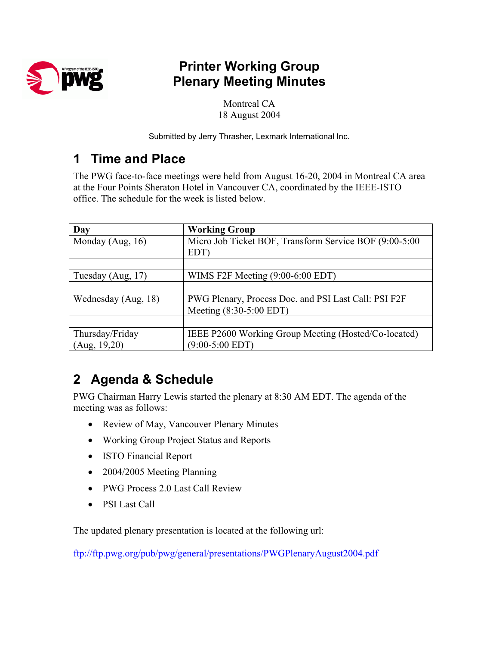

### **Printer Working Group Plenary Meeting Minutes**

Montreal CA 18 August 2004

Submitted by Jerry Thrasher, Lexmark International Inc.

### **1 Time and Place**

The PWG face-to-face meetings were held from August 16-20, 2004 in Montreal CA area at the Four Points Sheraton Hotel in Vancouver CA, coordinated by the IEEE-ISTO office. The schedule for the week is listed below.

| Day                 | <b>Working Group</b>                                   |
|---------------------|--------------------------------------------------------|
| Monday (Aug, $16$ ) | Micro Job Ticket BOF, Transform Service BOF (9:00-5:00 |
|                     | EDT)                                                   |
|                     |                                                        |
| Tuesday (Aug, 17)   | WIMS F2F Meeting $(9:00-6:00$ EDT)                     |
|                     |                                                        |
| Wednesday (Aug, 18) | PWG Plenary, Process Doc. and PSI Last Call: PSI F2F   |
|                     | Meeting (8:30-5:00 EDT)                                |
|                     |                                                        |
| Thursday/Friday     | IEEE P2600 Working Group Meeting (Hosted/Co-located)   |
| (Aug, 19,20)        | $(9:00-5:00$ EDT)                                      |

# **2 Agenda & Schedule**

PWG Chairman Harry Lewis started the plenary at 8:30 AM EDT. The agenda of the meeting was as follows:

- Review of May, Vancouver Plenary Minutes
- Working Group Project Status and Reports
- ISTO Financial Report
- 2004/2005 Meeting Planning
- PWG Process 2.0 Last Call Review
- PSI Last Call

The updated plenary presentation is located at the following url:

<ftp://ftp.pwg.org/pub/pwg/general/presentations/PWGPlenaryAugust2004.pdf>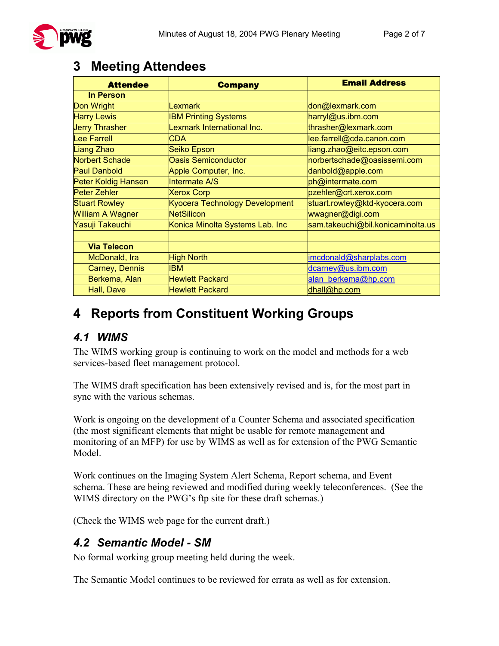### **3 Meeting Attendees**

| <b>Attendee</b>            | <b>Company</b>                  | <b>Email Address</b>              |
|----------------------------|---------------------------------|-----------------------------------|
| <b>In Person</b>           |                                 |                                   |
| Don Wright                 | <b>Lexmark</b>                  | don@lexmark.com                   |
| <b>Harry Lewis</b>         | <b>IBM Printing Systems</b>     | harryl@us.ibm.com                 |
| <b>Jerry Thrasher</b>      | Lexmark International Inc.      | thrasher@lexmark.com              |
| Lee Farrell                | <b>CDA</b>                      | lee.farrell@cda.canon.com         |
| Liang Zhao                 | Seiko Epson                     | liang.zhao@eitc.epson.com         |
| <b>Norbert Schade</b>      | <b>Oasis Semiconductor</b>      | norbertschade@oasissemi.com       |
| <b>Paul Danbold</b>        | Apple Computer, Inc.            | danbold@apple.com                 |
| <b>Peter Koldig Hansen</b> | Intermate A/S                   | ph@intermate.com                  |
| Peter Zehler               | <b>Xerox Corp</b>               | pzehler@crt.xerox.com             |
| <b>Stuart Rowley</b>       | Kyocera Technology Development  | stuart.rowley@ktd-kyocera.com     |
| <b>William A Wagner</b>    | <b>NetSilicon</b>               | wwagner@digi.com                  |
| Yasuji Takeuchi            | Konica Minolta Systems Lab. Inc | sam.takeuchi@bil.konicaminolta.us |
|                            |                                 |                                   |
| <b>Via Telecon</b>         |                                 |                                   |
| McDonald, Ira              | <b>High North</b>               | imcdonald@sharplabs.com           |
| Carney, Dennis             | <b>IBM</b>                      | dcarney@us.ibm.com                |
| Berkema, Alan              | <b>Hewlett Packard</b>          | alan berkema@hp.com               |
| Hall, Dave                 | <b>Hewlett Packard</b>          | dhall@hp.com                      |

# **4 Reports from Constituent Working Groups**

#### *4.1 WIMS*

The WIMS working group is continuing to work on the model and methods for a web services-based fleet management protocol.

The WIMS draft specification has been extensively revised and is, for the most part in sync with the various schemas.

Work is ongoing on the development of a Counter Schema and associated specification (the most significant elements that might be usable for remote management and monitoring of an MFP) for use by WIMS as well as for extension of the PWG Semantic Model.

Work continues on the Imaging System Alert Schema, Report schema, and Event schema. These are being reviewed and modified during weekly teleconferences. (See the WIMS directory on the PWG's ftp site for these draft schemas.)

(Check the WIMS web page for the current draft.)

#### *4.2 Semantic Model - SM*

No formal working group meeting held during the week.

The Semantic Model continues to be reviewed for errata as well as for extension.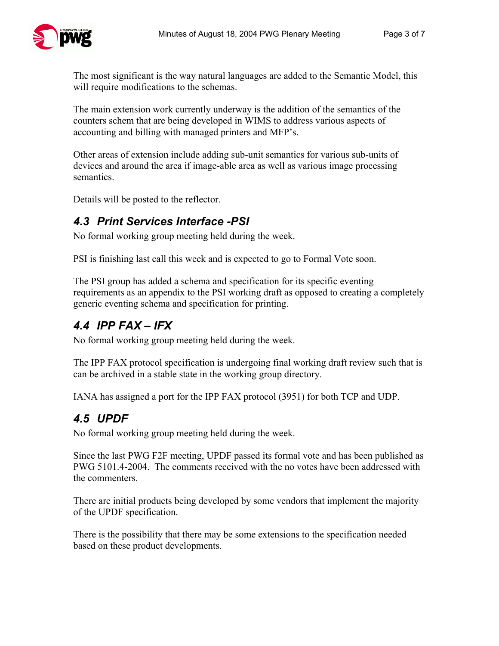The most significant is the way natural languages are added to the Semantic Model, this will require modifications to the schemas.

The main extension work currently underway is the addition of the semantics of the counters schem that are being developed in WIMS to address various aspects of accounting and billing with managed printers and MFP's.

Other areas of extension include adding sub-unit semantics for various sub-units of devices and around the area if image-able area as well as various image processing semantics.

Details will be posted to the reflector.

#### *4.3 Print Services Interface -PSI*

No formal working group meeting held during the week.

PSI is finishing last call this week and is expected to go to Formal Vote soon.

The PSI group has added a schema and specification for its specific eventing requirements as an appendix to the PSI working draft as opposed to creating a completely generic eventing schema and specification for printing.

### *4.4 IPP FAX – IFX*

No formal working group meeting held during the week.

The IPP FAX protocol specification is undergoing final working draft review such that is can be archived in a stable state in the working group directory.

IANA has assigned a port for the IPP FAX protocol (3951) for both TCP and UDP.

#### *4.5 UPDF*

No formal working group meeting held during the week.

Since the last PWG F2F meeting, UPDF passed its formal vote and has been published as PWG 5101.4-2004. The comments received with the no votes have been addressed with the commenters.

There are initial products being developed by some vendors that implement the majority of the UPDF specification.

There is the possibility that there may be some extensions to the specification needed based on these product developments.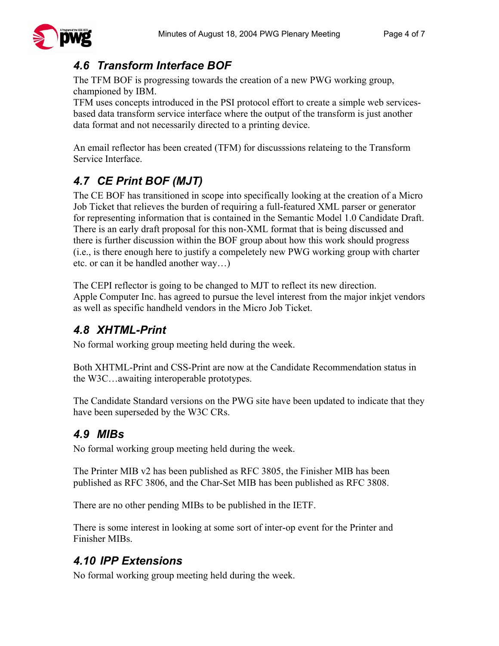

### *4.6 Transform Interface BOF*

The TFM BOF is progressing towards the creation of a new PWG working group, championed by IBM.

TFM uses concepts introduced in the PSI protocol effort to create a simple web servicesbased data transform service interface where the output of the transform is just another data format and not necessarily directed to a printing device.

An email reflector has been created (TFM) for discusssions relateing to the Transform Service Interface.

# *4.7 CE Print BOF (MJT)*

The CE BOF has transitioned in scope into specifically looking at the creation of a Micro Job Ticket that relieves the burden of requiring a full-featured XML parser or generator for representing information that is contained in the Semantic Model 1.0 Candidate Draft. There is an early draft proposal for this non-XML format that is being discussed and there is further discussion within the BOF group about how this work should progress (i.e., is there enough here to justify a compeletely new PWG working group with charter etc. or can it be handled another way…)

The CEPI reflector is going to be changed to MJT to reflect its new direction. Apple Computer Inc. has agreed to pursue the level interest from the major inkjet vendors as well as specific handheld vendors in the Micro Job Ticket.

### *4.8 XHTML-Print*

No formal working group meeting held during the week.

Both XHTML-Print and CSS-Print are now at the Candidate Recommendation status in the W3C…awaiting interoperable prototypes.

The Candidate Standard versions on the PWG site have been updated to indicate that they have been superseded by the W3C CRs.

### *4.9 MIBs*

No formal working group meeting held during the week.

The Printer MIB v2 has been published as RFC 3805, the Finisher MIB has been published as RFC 3806, and the Char-Set MIB has been published as RFC 3808.

There are no other pending MIBs to be published in the IETF.

There is some interest in looking at some sort of inter-op event for the Printer and Finisher MIBs.

### *4.10 IPP Extensions*

No formal working group meeting held during the week.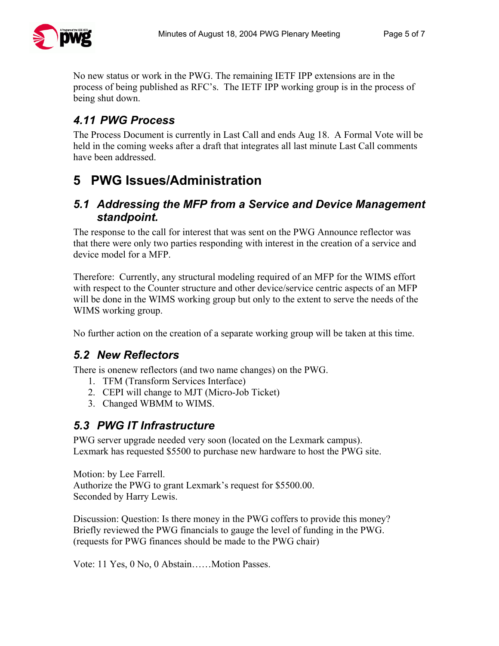

No new status or work in the PWG. The remaining IETF IPP extensions are in the process of being published as RFC's. The IETF IPP working group is in the process of being shut down.

### *4.11 PWG Process*

The Process Document is currently in Last Call and ends Aug 18. A Formal Vote will be held in the coming weeks after a draft that integrates all last minute Last Call comments have been addressed.

# **5 PWG Issues/Administration**

#### *5.1 Addressing the MFP from a Service and Device Management standpoint.*

The response to the call for interest that was sent on the PWG Announce reflector was that there were only two parties responding with interest in the creation of a service and device model for a MFP.

Therefore: Currently, any structural modeling required of an MFP for the WIMS effort with respect to the Counter structure and other device/service centric aspects of an MFP will be done in the WIMS working group but only to the extent to serve the needs of the WIMS working group.

No further action on the creation of a separate working group will be taken at this time.

#### *5.2 New Reflectors*

There is onenew reflectors (and two name changes) on the PWG.

- 1. TFM (Transform Services Interface)
- 2. CEPI will change to MJT (Micro-Job Ticket)
- 3. Changed WBMM to WIMS.

#### *5.3 PWG IT Infrastructure*

PWG server upgrade needed very soon (located on the Lexmark campus). Lexmark has requested \$5500 to purchase new hardware to host the PWG site.

Motion: by Lee Farrell. Authorize the PWG to grant Lexmark's request for \$5500.00. Seconded by Harry Lewis.

Discussion: Question: Is there money in the PWG coffers to provide this money? Briefly reviewed the PWG financials to gauge the level of funding in the PWG. (requests for PWG finances should be made to the PWG chair)

Vote: 11 Yes, 0 No, 0 Abstain……Motion Passes.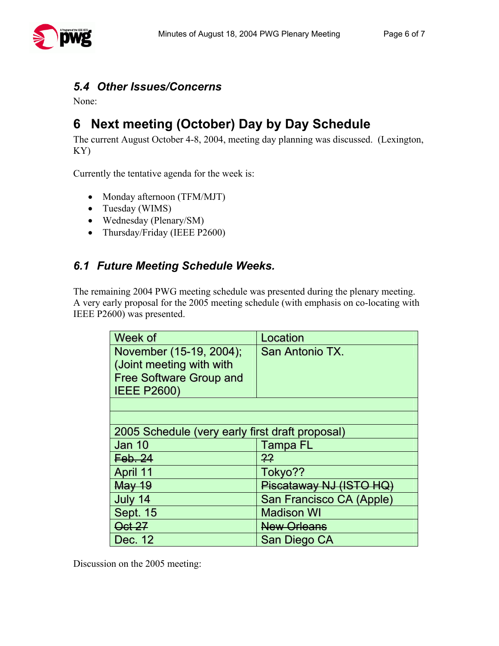

#### *5.4 Other Issues/Concerns*

None:

# **6 Next meeting (October) Day by Day Schedule**

The current August October 4-8, 2004, meeting day planning was discussed. (Lexington, KY)

Currently the tentative agenda for the week is:

- Monday afternoon (TFM/MJT)
- Tuesday (WIMS)
- Wednesday (Plenary/SM)
- Thursday/Friday (IEEE P2600)

#### *6.1 Future Meeting Schedule Weeks.*

The remaining 2004 PWG meeting schedule was presented during the plenary meeting. A very early proposal for the 2005 meeting schedule (with emphasis on co-locating with IEEE P2600) was presented.

| Week of                                         | Location                 |  |  |
|-------------------------------------------------|--------------------------|--|--|
| November (15-19, 2004);                         | San Antonio TX.          |  |  |
| (Joint meeting with with                        |                          |  |  |
| <b>Free Software Group and</b>                  |                          |  |  |
| <b>IEEE P2600)</b>                              |                          |  |  |
|                                                 |                          |  |  |
|                                                 |                          |  |  |
| 2005 Schedule (very early first draft proposal) |                          |  |  |
| <b>Jan 10</b>                                   | Tampa FL                 |  |  |
| Feb.24                                          | $^{22}$                  |  |  |
| April 11                                        | Tokyo??                  |  |  |
| <b>May 19</b>                                   | Piscataway NJ (ISTO HQ)  |  |  |
| July 14                                         | San Francisco CA (Apple) |  |  |
| <b>Sept. 15</b>                                 | <b>Madison WI</b>        |  |  |
| <b>Oct 27</b>                                   | <b>New Orleans</b>       |  |  |
| Dec. 12                                         | San Diego CA             |  |  |

Discussion on the 2005 meeting: